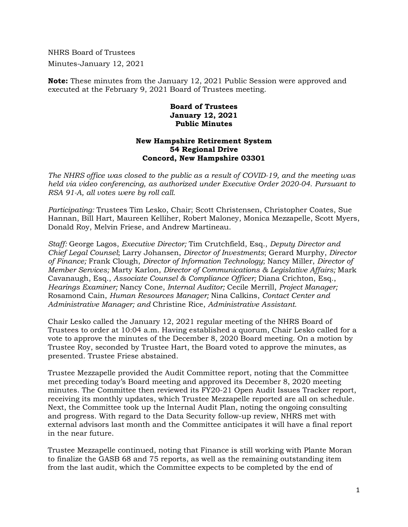NHRS Board of Trustees Minutes-January 12, 2021

**Note:** These minutes from the January 12, 2021 Public Session were approved and executed at the February 9, 2021 Board of Trustees meeting.

## **Board of Trustees January 12, 2021 Public Minutes**

## **New Hampshire Retirement System 54 Regional Drive Concord, New Hampshire 03301**

*The NHRS office was closed to the public as a result of COVID-19, and the meeting was held via video conferencing, as authorized under Executive Order 2020-04. Pursuant to RSA 91-A, all votes were by roll call.* 

*Participating:* Trustees Tim Lesko, Chair; Scott Christensen, Christopher Coates, Sue Hannan, Bill Hart, Maureen Kelliher, Robert Maloney, Monica Mezzapelle, Scott Myers, Donald Roy, Melvin Friese, and Andrew Martineau.

*Staff:* George Lagos, *Executive Director;* Tim Crutchfield, Esq., *Deputy Director and Chief Legal Counsel*; Larry Johansen, *Director of Investments*; Gerard Murphy, *Director of Finance;* Frank Clough, *Director of Information Technology*; Nancy Miller, *Director of Member Services;* Marty Karlon, *Director of Communications & Legislative Affairs;* Mark Cavanaugh, Esq., *Associate Counsel & Compliance Officer;* Diana Crichton, Esq., *Hearings Examiner;* Nancy Cone, *Internal Auditor;* Cecile Merrill, *Project Manager;*  Rosamond Cain, *Human Resources Manager;* Nina Calkins, *Contact Center and Administrative Manager; and* Christine Rice, *Administrative Assistant.* 

Chair Lesko called the January 12, 2021 regular meeting of the NHRS Board of Trustees to order at 10:04 a.m. Having established a quorum, Chair Lesko called for a vote to approve the minutes of the December 8, 2020 Board meeting. On a motion by Trustee Roy, seconded by Trustee Hart, the Board voted to approve the minutes, as presented. Trustee Friese abstained.

Trustee Mezzapelle provided the Audit Committee report, noting that the Committee met preceding today's Board meeting and approved its December 8, 2020 meeting minutes. The Committee then reviewed its FY20-21 Open Audit Issues Tracker report, receiving its monthly updates, which Trustee Mezzapelle reported are all on schedule. Next, the Committee took up the Internal Audit Plan, noting the ongoing consulting and progress. With regard to the Data Security follow-up review, NHRS met with external advisors last month and the Committee anticipates it will have a final report in the near future.

Trustee Mezzapelle continued, noting that Finance is still working with Plante Moran to finalize the GASB 68 and 75 reports, as well as the remaining outstanding item from the last audit, which the Committee expects to be completed by the end of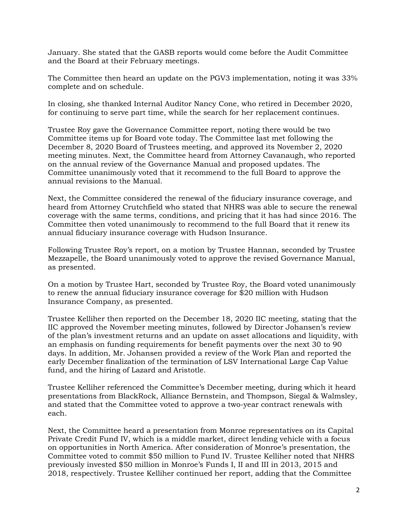January. She stated that the GASB reports would come before the Audit Committee and the Board at their February meetings.

The Committee then heard an update on the PGV3 implementation, noting it was 33% complete and on schedule.

In closing, she thanked Internal Auditor Nancy Cone, who retired in December 2020, for continuing to serve part time, while the search for her replacement continues.

Trustee Roy gave the Governance Committee report, noting there would be two Committee items up for Board vote today. The Committee last met following the December 8, 2020 Board of Trustees meeting, and approved its November 2, 2020 meeting minutes. Next, the Committee heard from Attorney Cavanaugh, who reported on the annual review of the Governance Manual and proposed updates. The Committee unanimously voted that it recommend to the full Board to approve the annual revisions to the Manual.

Next, the Committee considered the renewal of the fiduciary insurance coverage, and heard from Attorney Crutchfield who stated that NHRS was able to secure the renewal coverage with the same terms, conditions, and pricing that it has had since 2016. The Committee then voted unanimously to recommend to the full Board that it renew its annual fiduciary insurance coverage with Hudson Insurance.

Following Trustee Roy's report, on a motion by Trustee Hannan, seconded by Trustee Mezzapelle, the Board unanimously voted to approve the revised Governance Manual, as presented.

On a motion by Trustee Hart, seconded by Trustee Roy, the Board voted unanimously to renew the annual fiduciary insurance coverage for \$20 million with Hudson Insurance Company, as presented.

Trustee Kelliher then reported on the December 18, 2020 IIC meeting, stating that the IIC approved the November meeting minutes, followed by Director Johansen's review of the plan's investment returns and an update on asset allocations and liquidity, with an emphasis on funding requirements for benefit payments over the next 30 to 90 days. In addition, Mr. Johansen provided a review of the Work Plan and reported the early December finalization of the termination of LSV International Large Cap Value fund, and the hiring of Lazard and Aristotle.

Trustee Kelliher referenced the Committee's December meeting, during which it heard presentations from BlackRock, Alliance Bernstein, and Thompson, Siegal & Walmsley, and stated that the Committee voted to approve a two-year contract renewals with each.

Next, the Committee heard a presentation from Monroe representatives on its Capital Private Credit Fund IV, which is a middle market, direct lending vehicle with a focus on opportunities in North America. After consideration of Monroe's presentation, the Committee voted to commit \$50 million to Fund IV. Trustee Kelliher noted that NHRS previously invested \$50 million in Monroe's Funds I, II and III in 2013, 2015 and 2018, respectively. Trustee Kelliher continued her report, adding that the Committee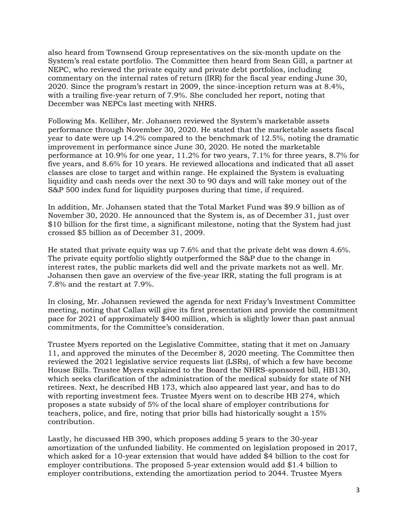also heard from Townsend Group representatives on the six-month update on the System's real estate portfolio. The Committee then heard from Sean Gill, a partner at NEPC, who reviewed the private equity and private debt portfolios, including commentary on the internal rates of return (IRR) for the fiscal year ending June 30, 2020. Since the program's restart in 2009, the since-inception return was at 8.4%, with a trailing five-year return of 7.9%. She concluded her report, noting that December was NEPCs last meeting with NHRS.

Following Ms. Kelliher, Mr. Johansen reviewed the System's marketable assets performance through November 30, 2020. He stated that the marketable assets fiscal year to date were up 14.2% compared to the benchmark of 12.5%, noting the dramatic improvement in performance since June 30, 2020. He noted the marketable performance at 10.9% for one year, 11.2% for two years, 7.1% for three years, 8.7% for five years, and 8.6% for 10 years. He reviewed allocations and indicated that all asset classes are close to target and within range. He explained the System is evaluating liquidity and cash needs over the next 30 to 90 days and will take money out of the S&P 500 index fund for liquidity purposes during that time, if required.

In addition, Mr. Johansen stated that the Total Market Fund was \$9.9 billion as of November 30, 2020. He announced that the System is, as of December 31, just over \$10 billion for the first time, a significant milestone, noting that the System had just crossed \$5 billion as of December 31, 2009.

He stated that private equity was up 7.6% and that the private debt was down 4.6%. The private equity portfolio slightly outperformed the S&P due to the change in interest rates, the public markets did well and the private markets not as well. Mr. Johansen then gave an overview of the five-year IRR, stating the full program is at 7.8% and the restart at 7.9%.

In closing, Mr. Johansen reviewed the agenda for next Friday's Investment Committee meeting, noting that Callan will give its first presentation and provide the commitment pace for 2021 of approximately \$400 million, which is slightly lower than past annual commitments, for the Committee's consideration.

Trustee Myers reported on the Legislative Committee, stating that it met on January 11, and approved the minutes of the December 8, 2020 meeting. The Committee then reviewed the 2021 legislative service requests list (LSRs), of which a few have become House Bills. Trustee Myers explained to the Board the NHRS-sponsored bill, HB130, which seeks clarification of the administration of the medical subsidy for state of NH retirees. Next, he described HB 173, which also appeared last year, and has to do with reporting investment fees. Trustee Myers went on to describe HB 274, which proposes a state subsidy of 5% of the local share of employer contributions for teachers, police, and fire, noting that prior bills had historically sought a 15% contribution.

Lastly, he discussed HB 390, which proposes adding 5 years to the 30-year amortization of the unfunded liability. He commented on legislation proposed in 2017, which asked for a 10-year extension that would have added \$4 billion to the cost for employer contributions. The proposed 5-year extension would add \$1.4 billion to employer contributions, extending the amortization period to 2044. Trustee Myers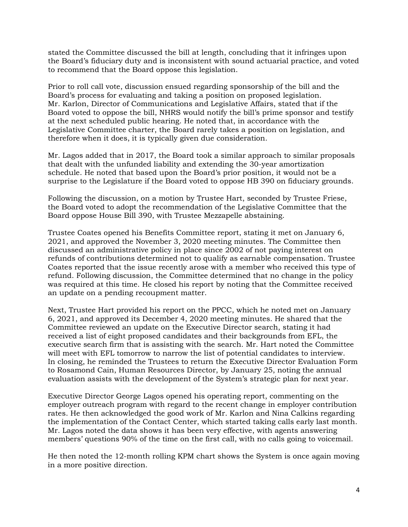stated the Committee discussed the bill at length, concluding that it infringes upon the Board's fiduciary duty and is inconsistent with sound actuarial practice, and voted to recommend that the Board oppose this legislation.

Prior to roll call vote, discussion ensued regarding sponsorship of the bill and the Board's process for evaluating and taking a position on proposed legislation. Mr. Karlon, Director of Communications and Legislative Affairs, stated that if the Board voted to oppose the bill, NHRS would notify the bill's prime sponsor and testify at the next scheduled public hearing. He noted that, in accordance with the Legislative Committee charter, the Board rarely takes a position on legislation, and therefore when it does, it is typically given due consideration.

Mr. Lagos added that in 2017, the Board took a similar approach to similar proposals that dealt with the unfunded liability and extending the 30-year amortization schedule. He noted that based upon the Board's prior position, it would not be a surprise to the Legislature if the Board voted to oppose HB 390 on fiduciary grounds.

Following the discussion, on a motion by Trustee Hart, seconded by Trustee Friese, the Board voted to adopt the recommendation of the Legislative Committee that the Board oppose House Bill 390, with Trustee Mezzapelle abstaining.

Trustee Coates opened his Benefits Committee report, stating it met on January 6, 2021, and approved the November 3, 2020 meeting minutes. The Committee then discussed an administrative policy in place since 2002 of not paying interest on refunds of contributions determined not to qualify as earnable compensation. Trustee Coates reported that the issue recently arose with a member who received this type of refund. Following discussion, the Committee determined that no change in the policy was required at this time. He closed his report by noting that the Committee received an update on a pending recoupment matter.

Next, Trustee Hart provided his report on the PPCC, which he noted met on January 6, 2021, and approved its December 4, 2020 meeting minutes. He shared that the Committee reviewed an update on the Executive Director search, stating it had received a list of eight proposed candidates and their backgrounds from EFL, the executive search firm that is assisting with the search. Mr. Hart noted the Committee will meet with EFL tomorrow to narrow the list of potential candidates to interview. In closing, he reminded the Trustees to return the Executive Director Evaluation Form to Rosamond Cain, Human Resources Director, by January 25, noting the annual evaluation assists with the development of the System's strategic plan for next year.

Executive Director George Lagos opened his operating report, commenting on the employer outreach program with regard to the recent change in employer contribution rates. He then acknowledged the good work of Mr. Karlon and Nina Calkins regarding the implementation of the Contact Center, which started taking calls early last month. Mr. Lagos noted the data shows it has been very effective, with agents answering members' questions 90% of the time on the first call, with no calls going to voicemail.

He then noted the 12-month rolling KPM chart shows the System is once again moving in a more positive direction.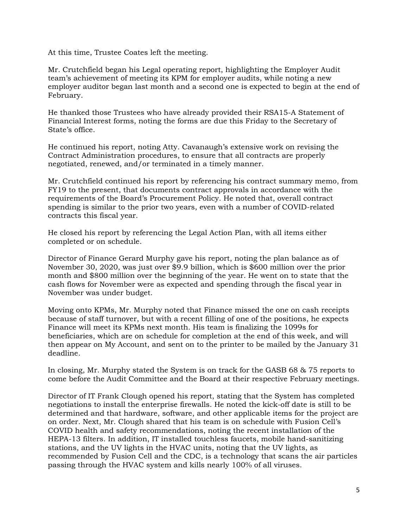At this time, Trustee Coates left the meeting.

Mr. Crutchfield began his Legal operating report, highlighting the Employer Audit team's achievement of meeting its KPM for employer audits, while noting a new employer auditor began last month and a second one is expected to begin at the end of February.

He thanked those Trustees who have already provided their RSA15-A Statement of Financial Interest forms, noting the forms are due this Friday to the Secretary of State's office.

He continued his report, noting Atty. Cavanaugh's extensive work on revising the Contract Administration procedures, to ensure that all contracts are properly negotiated, renewed, and/or terminated in a timely manner.

Mr. Crutchfield continued his report by referencing his contract summary memo, from FY19 to the present, that documents contract approvals in accordance with the requirements of the Board's Procurement Policy. He noted that, overall contract spending is similar to the prior two years, even with a number of COVID-related contracts this fiscal year.

He closed his report by referencing the Legal Action Plan, with all items either completed or on schedule.

Director of Finance Gerard Murphy gave his report, noting the plan balance as of November 30, 2020, was just over \$9.9 billion, which is \$600 million over the prior month and \$800 million over the beginning of the year. He went on to state that the cash flows for November were as expected and spending through the fiscal year in November was under budget.

Moving onto KPMs, Mr. Murphy noted that Finance missed the one on cash receipts because of staff turnover, but with a recent filling of one of the positions, he expects Finance will meet its KPMs next month. His team is finalizing the 1099s for beneficiaries, which are on schedule for completion at the end of this week, and will then appear on My Account, and sent on to the printer to be mailed by the January 31 deadline.

In closing, Mr. Murphy stated the System is on track for the GASB 68 & 75 reports to come before the Audit Committee and the Board at their respective February meetings.

Director of IT Frank Clough opened his report, stating that the System has completed negotiations to install the enterprise firewalls. He noted the kick-off date is still to be determined and that hardware, software, and other applicable items for the project are on order. Next, Mr. Clough shared that his team is on schedule with Fusion Cell's COVID health and safety recommendations, noting the recent installation of the HEPA-13 filters. In addition, IT installed touchless faucets, mobile hand-sanitizing stations, and the UV lights in the HVAC units, noting that the UV lights, as recommended by Fusion Cell and the CDC, is a technology that scans the air particles passing through the HVAC system and kills nearly 100% of all viruses.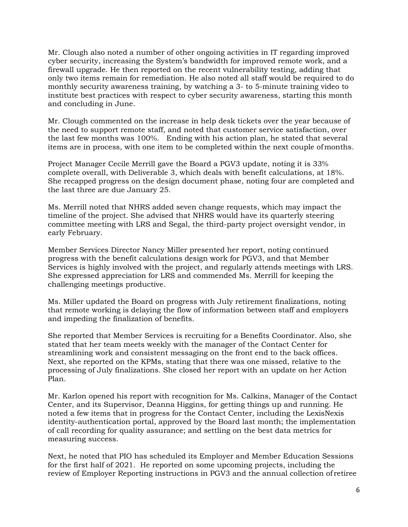Mr. Clough also noted a number of other ongoing activities in IT regarding improved cyber security, increasing the System's bandwidth for improved remote work, and a firewall upgrade. He then reported on the recent vulnerability testing, adding that only two items remain for remediation. He also noted all staff would be required to do monthly security awareness training, by watching a 3- to 5-minute training video to institute best practices with respect to cyber security awareness, starting this month and concluding in June.

Mr. Clough commented on the increase in help desk tickets over the year because of the need to support remote staff, and noted that customer service satisfaction, over the last few months was 100%. Ending with his action plan, he stated that several items are in process, with one item to be completed within the next couple of months.

Project Manager Cecile Merrill gave the Board a PGV3 update, noting it is 33% complete overall, with Deliverable 3, which deals with benefit calculations, at 18%. She recapped progress on the design document phase, noting four are completed and the last three are due January 25.

Ms. Merrill noted that NHRS added seven change requests, which may impact the timeline of the project. She advised that NHRS would have its quarterly steering committee meeting with LRS and Segal, the third-party project oversight vendor, in early February.

Member Services Director Nancy Miller presented her report, noting continued progress with the benefit calculations design work for PGV3, and that Member Services is highly involved with the project, and regularly attends meetings with LRS. She expressed appreciation for LRS and commended Ms. Merrill for keeping the challenging meetings productive.

Ms. Miller updated the Board on progress with July retirement finalizations, noting that remote working is delaying the flow of information between staff and employers and impeding the finalization of benefits.

She reported that Member Services is recruiting for a Benefits Coordinator. Also, she stated that her team meets weekly with the manager of the Contact Center for streamlining work and consistent messaging on the front end to the back offices. Next, she reported on the KPMs, stating that there was one missed, relative to the processing of July finalizations. She closed her report with an update on her Action Plan.

Mr. Karlon opened his report with recognition for Ms. Calkins, Manager of the Contact Center, and its Supervisor, Deanna Higgins, for getting things up and running. He noted a few items that in progress for the Contact Center, including the LexisNexis identity-authentication portal, approved by the Board last month; the implementation of call recording for quality assurance; and settling on the best data metrics for measuring success.

Next, he noted that PIO has scheduled its Employer and Member Education Sessions for the first half of 2021. He reported on some upcoming projects, including the review of Employer Reporting instructions in PGV3 and the annual collection of retiree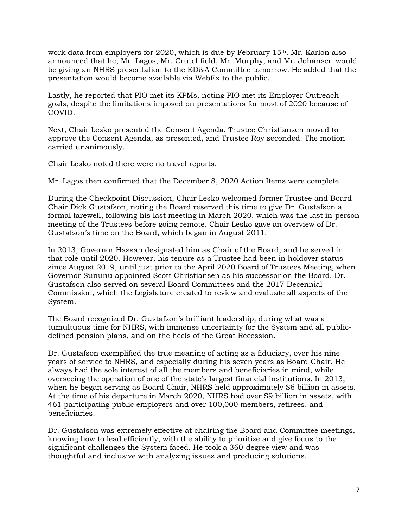work data from employers for 2020, which is due by February 15th. Mr. Karlon also announced that he, Mr. Lagos, Mr. Crutchfield, Mr. Murphy, and Mr. Johansen would be giving an NHRS presentation to the ED&A Committee tomorrow. He added that the presentation would become available via WebEx to the public.

Lastly, he reported that PIO met its KPMs, noting PIO met its Employer Outreach goals, despite the limitations imposed on presentations for most of 2020 because of COVID.

Next, Chair Lesko presented the Consent Agenda. Trustee Christiansen moved to approve the Consent Agenda, as presented, and Trustee Roy seconded. The motion carried unanimously.

Chair Lesko noted there were no travel reports.

Mr. Lagos then confirmed that the December 8, 2020 Action Items were complete.

During the Checkpoint Discussion, Chair Lesko welcomed former Trustee and Board Chair Dick Gustafson, noting the Board reserved this time to give Dr. Gustafson a formal farewell, following his last meeting in March 2020, which was the last in-person meeting of the Trustees before going remote. Chair Lesko gave an overview of Dr. Gustafson's time on the Board, which began in August 2011.

In 2013, Governor Hassan designated him as Chair of the Board, and he served in that role until 2020. However, his tenure as a Trustee had been in holdover status since August 2019, until just prior to the April 2020 Board of Trustees Meeting, when Governor Sununu appointed Scott Christiansen as his successor on the Board. Dr. Gustafson also served on several Board Committees and the 2017 Decennial Commission, which the Legislature created to review and evaluate all aspects of the System.

The Board recognized Dr. Gustafson's brilliant leadership, during what was a tumultuous time for NHRS, with immense uncertainty for the System and all publicdefined pension plans, and on the heels of the Great Recession.

Dr. Gustafson exemplified the true meaning of acting as a fiduciary, over his nine years of service to NHRS, and especially during his seven years as Board Chair. He always had the sole interest of all the members and beneficiaries in mind, while overseeing the operation of one of the state's largest financial institutions. In 2013, when he began serving as Board Chair, NHRS held approximately \$6 billion in assets. At the time of his departure in March 2020, NHRS had over \$9 billion in assets, with 461 participating public employers and over 100,000 members, retirees, and beneficiaries.

Dr. Gustafson was extremely effective at chairing the Board and Committee meetings, knowing how to lead efficiently, with the ability to prioritize and give focus to the significant challenges the System faced. He took a 360-degree view and was thoughtful and inclusive with analyzing issues and producing solutions.